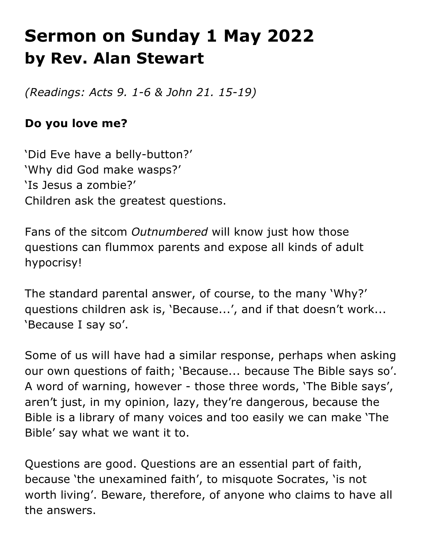# **Sermon on Sunday 1 May 2022 by Rev. Alan Stewart**

*(Readings: Acts 9. 1-6 & John 21. 15-19)*

## **Do you love me?**

'Did Eve have a belly-button?' 'Why did God make wasps?' 'Is Jesus a zombie?' Children ask the greatest questions.

Fans of the sitcom *Outnumbered* will know just how those questions can flummox parents and expose all kinds of adult hypocrisy!

The standard parental answer, of course, to the many 'Why?' questions children ask is, 'Because...', and if that doesn't work... 'Because I say so'.

Some of us will have had a similar response, perhaps when asking our own questions of faith; 'Because... because The Bible says so'. A word of warning, however - those three words, 'The Bible says', aren't just, in my opinion, lazy, they're dangerous, because the Bible is a library of many voices and too easily we can make 'The Bible' say what we want it to.

Questions are good. Questions are an essential part of faith, because 'the unexamined faith', to misquote Socrates, 'is not worth living'. Beware, therefore, of anyone who claims to have all the answers.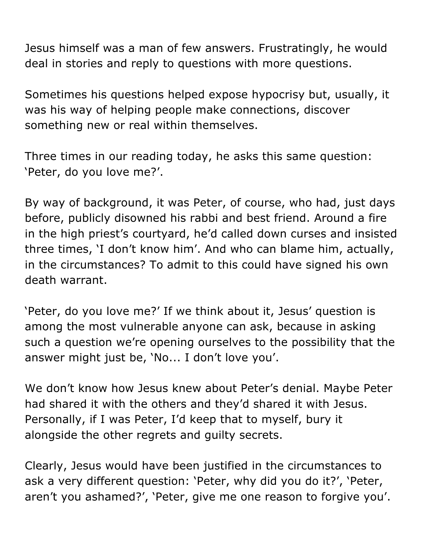Jesus himself was a man of few answers. Frustratingly, he would deal in stories and reply to questions with more questions.

Sometimes his questions helped expose hypocrisy but, usually, it was his way of helping people make connections, discover something new or real within themselves.

Three times in our reading today, he asks this same question: 'Peter, do you love me?'.

By way of background, it was Peter, of course, who had, just days before, publicly disowned his rabbi and best friend. Around a fire in the high priest's courtyard, he'd called down curses and insisted three times, 'I don't know him'. And who can blame him, actually, in the circumstances? To admit to this could have signed his own death warrant.

'Peter, do you love me?' If we think about it, Jesus' question is among the most vulnerable anyone can ask, because in asking such a question we're opening ourselves to the possibility that the answer might just be, 'No... I don't love you'.

We don't know how Jesus knew about Peter's denial. Maybe Peter had shared it with the others and they'd shared it with Jesus. Personally, if I was Peter, I'd keep that to myself, bury it alongside the other regrets and guilty secrets.

Clearly, Jesus would have been justified in the circumstances to ask a very different question: 'Peter, why did you do it?', 'Peter, aren't you ashamed?', 'Peter, give me one reason to forgive you'.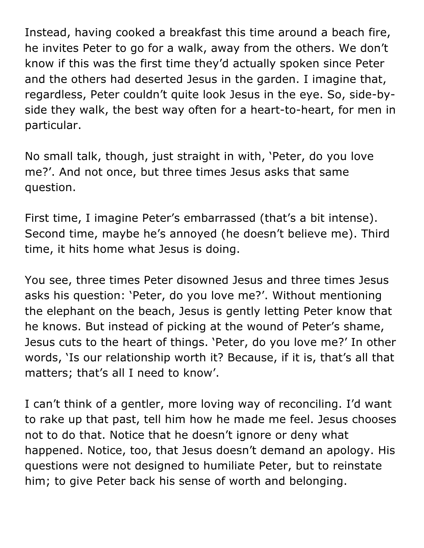Instead, having cooked a breakfast this time around a beach fire, he invites Peter to go for a walk, away from the others. We don't know if this was the first time they'd actually spoken since Peter and the others had deserted Jesus in the garden. I imagine that, regardless, Peter couldn't quite look Jesus in the eye. So, side-byside they walk, the best way often for a heart-to-heart, for men in particular.

No small talk, though, just straight in with, 'Peter, do you love me?'. And not once, but three times Jesus asks that same question.

First time, I imagine Peter's embarrassed (that's a bit intense). Second time, maybe he's annoyed (he doesn't believe me). Third time, it hits home what Jesus is doing.

You see, three times Peter disowned Jesus and three times Jesus asks his question: 'Peter, do you love me?'. Without mentioning the elephant on the beach, Jesus is gently letting Peter know that he knows. But instead of picking at the wound of Peter's shame, Jesus cuts to the heart of things. 'Peter, do you love me?' In other words, 'Is our relationship worth it? Because, if it is, that's all that matters; that's all I need to know'.

I can't think of a gentler, more loving way of reconciling. I'd want to rake up that past, tell him how he made me feel. Jesus chooses not to do that. Notice that he doesn't ignore or deny what happened. Notice, too, that Jesus doesn't demand an apology. His questions were not designed to humiliate Peter, but to reinstate him; to give Peter back his sense of worth and belonging.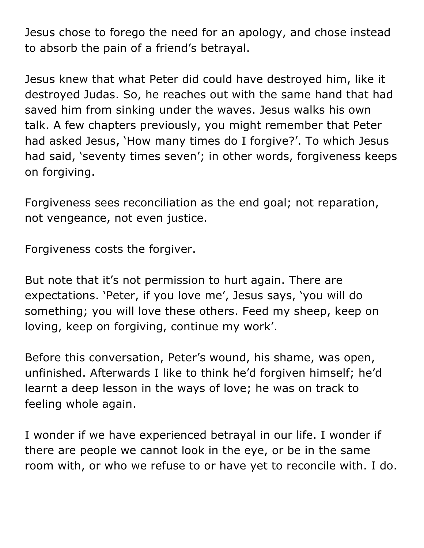Jesus chose to forego the need for an apology, and chose instead to absorb the pain of a friend's betrayal.

Jesus knew that what Peter did could have destroyed him, like it destroyed Judas. So, he reaches out with the same hand that had saved him from sinking under the waves. Jesus walks his own talk. A few chapters previously, you might remember that Peter had asked Jesus, 'How many times do I forgive?'. To which Jesus had said, 'seventy times seven'; in other words, forgiveness keeps on forgiving.

Forgiveness sees reconciliation as the end goal; not reparation, not vengeance, not even justice.

Forgiveness costs the forgiver.

But note that it's not permission to hurt again. There are expectations. 'Peter, if you love me', Jesus says, 'you will do something; you will love these others. Feed my sheep, keep on loving, keep on forgiving, continue my work'.

Before this conversation, Peter's wound, his shame, was open, unfinished. Afterwards I like to think he'd forgiven himself; he'd learnt a deep lesson in the ways of love; he was on track to feeling whole again.

I wonder if we have experienced betrayal in our life. I wonder if there are people we cannot look in the eye, or be in the same room with, or who we refuse to or have yet to reconcile with. I do.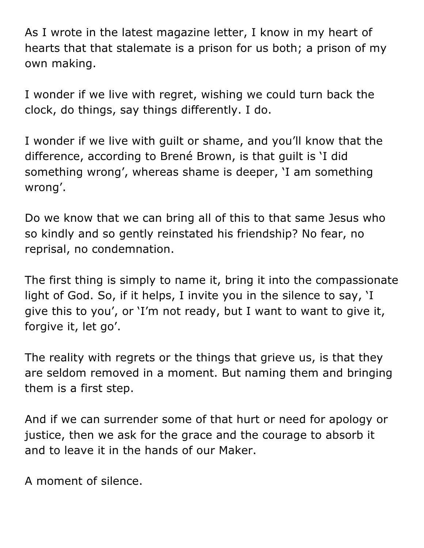As I wrote in the latest magazine letter, I know in my heart of hearts that that stalemate is a prison for us both; a prison of my own making.

I wonder if we live with regret, wishing we could turn back the clock, do things, say things differently. I do.

I wonder if we live with guilt or shame, and you'll know that the difference, according to Brené Brown, is that guilt is 'I did something wrong', whereas shame is deeper, 'I am something wrong'.

Do we know that we can bring all of this to that same Jesus who so kindly and so gently reinstated his friendship? No fear, no reprisal, no condemnation.

The first thing is simply to name it, bring it into the compassionate light of God. So, if it helps, I invite you in the silence to say, 'I give this to you', or 'I'm not ready, but I want to want to give it, forgive it, let go'.

The reality with regrets or the things that grieve us, is that they are seldom removed in a moment. But naming them and bringing them is a first step.

And if we can surrender some of that hurt or need for apology or justice, then we ask for the grace and the courage to absorb it and to leave it in the hands of our Maker.

A moment of silence.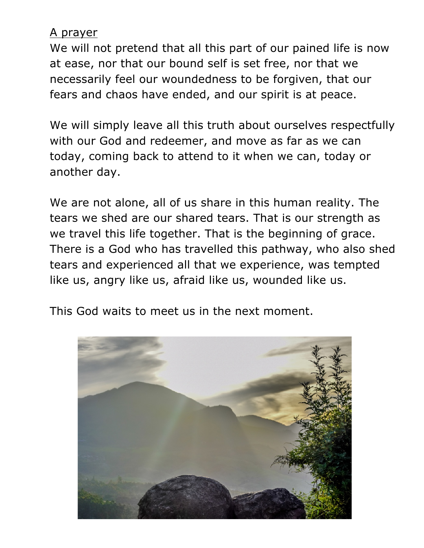### A prayer

We will not pretend that all this part of our pained life is now at ease, nor that our bound self is set free, nor that we necessarily feel our woundedness to be forgiven, that our fears and chaos have ended, and our spirit is at peace.

We will simply leave all this truth about ourselves respectfully with our God and redeemer, and move as far as we can today, coming back to attend to it when we can, today or another day.

We are not alone, all of us share in this human reality. The tears we shed are our shared tears. That is our strength as we travel this life together. That is the beginning of grace. There is a God who has travelled this pathway, who also shed tears and experienced all that we experience, was tempted like us, angry like us, afraid like us, wounded like us.

This God waits to meet us in the next moment.